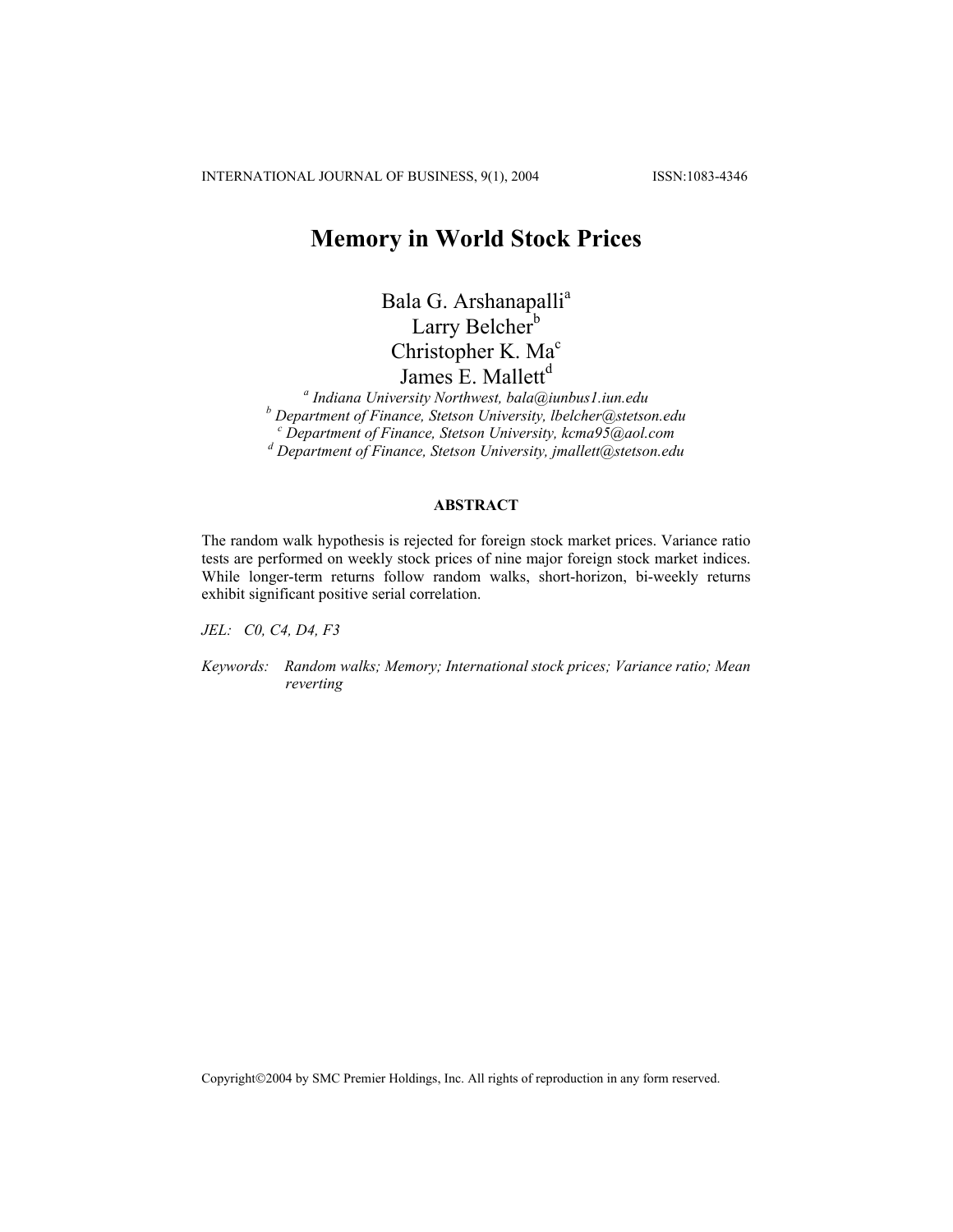INTERNATIONAL JOURNAL OF BUSINESS, 9(1), 2004 ISSN:1083-4346

# **Memory in World Stock Prices**

Bala G. Arshanapalli<sup>a</sup> Larry Belcher<sup>b</sup> Christopher K. Ma<sup>c</sup> James E. Mallett<sup>d</sup>

*a Indiana University Northwest, bala@iunbus1.iun.edu b*<br> *c* Department of Finance, Stetson University, lbelcher@stetson.edu<br>
c Department of Finance, Stetson University, leape@5@gol.eom  *Department of Finance, Stetson University, kcma95@aol.com d Department of Finance, Stetson University, jmallett@stetson.edu* 

## **ABSTRACT**

The random walk hypothesis is rejected for foreign stock market prices. Variance ratio tests are performed on weekly stock prices of nine major foreign stock market indices. While longer-term returns follow random walks, short-horizon, bi-weekly returns exhibit significant positive serial correlation.

*JEL: C0, C4, D4, F3* 

*Keywords: Random walks; Memory; International stock prices; Variance ratio; Mean reverting* 

Copyright©2004 by SMC Premier Holdings, Inc. All rights of reproduction in any form reserved.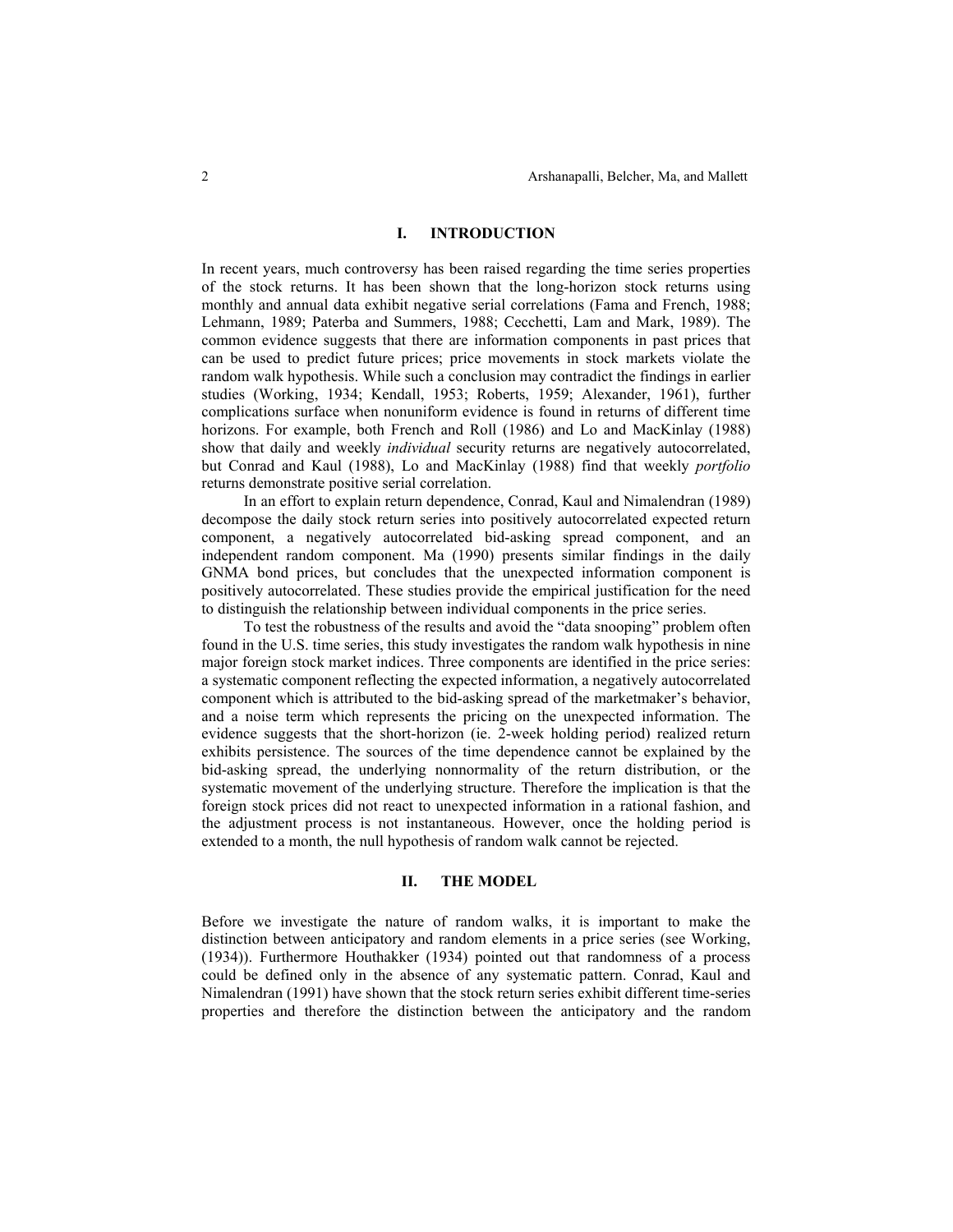#### **I. INTRODUCTION**

In recent years, much controversy has been raised regarding the time series properties of the stock returns. It has been shown that the long-horizon stock returns using monthly and annual data exhibit negative serial correlations (Fama and French, 1988; Lehmann, 1989; Paterba and Summers, 1988; Cecchetti, Lam and Mark, 1989). The common evidence suggests that there are information components in past prices that can be used to predict future prices; price movements in stock markets violate the random walk hypothesis. While such a conclusion may contradict the findings in earlier studies (Working, 1934; Kendall, 1953; Roberts, 1959; Alexander, 1961), further complications surface when nonuniform evidence is found in returns of different time horizons. For example, both French and Roll (1986) and Lo and MacKinlay (1988) show that daily and weekly *individual* security returns are negatively autocorrelated, but Conrad and Kaul (1988), Lo and MacKinlay (1988) find that weekly *portfolio* returns demonstrate positive serial correlation.

In an effort to explain return dependence, Conrad, Kaul and Nimalendran (1989) decompose the daily stock return series into positively autocorrelated expected return component, a negatively autocorrelated bid-asking spread component, and an independent random component. Ma (1990) presents similar findings in the daily GNMA bond prices, but concludes that the unexpected information component is positively autocorrelated. These studies provide the empirical justification for the need to distinguish the relationship between individual components in the price series.

To test the robustness of the results and avoid the "data snooping" problem often found in the U.S. time series, this study investigates the random walk hypothesis in nine major foreign stock market indices. Three components are identified in the price series: a systematic component reflecting the expected information, a negatively autocorrelated component which is attributed to the bid-asking spread of the marketmaker's behavior, and a noise term which represents the pricing on the unexpected information. The evidence suggests that the short-horizon (ie. 2-week holding period) realized return exhibits persistence. The sources of the time dependence cannot be explained by the bid-asking spread, the underlying nonnormality of the return distribution, or the systematic movement of the underlying structure. Therefore the implication is that the foreign stock prices did not react to unexpected information in a rational fashion, and the adjustment process is not instantaneous. However, once the holding period is extended to a month, the null hypothesis of random walk cannot be rejected.

### **II. THE MODEL**

Before we investigate the nature of random walks, it is important to make the distinction between anticipatory and random elements in a price series (see Working, (1934)). Furthermore Houthakker (1934) pointed out that randomness of a process could be defined only in the absence of any systematic pattern. Conrad, Kaul and Nimalendran (1991) have shown that the stock return series exhibit different time-series properties and therefore the distinction between the anticipatory and the random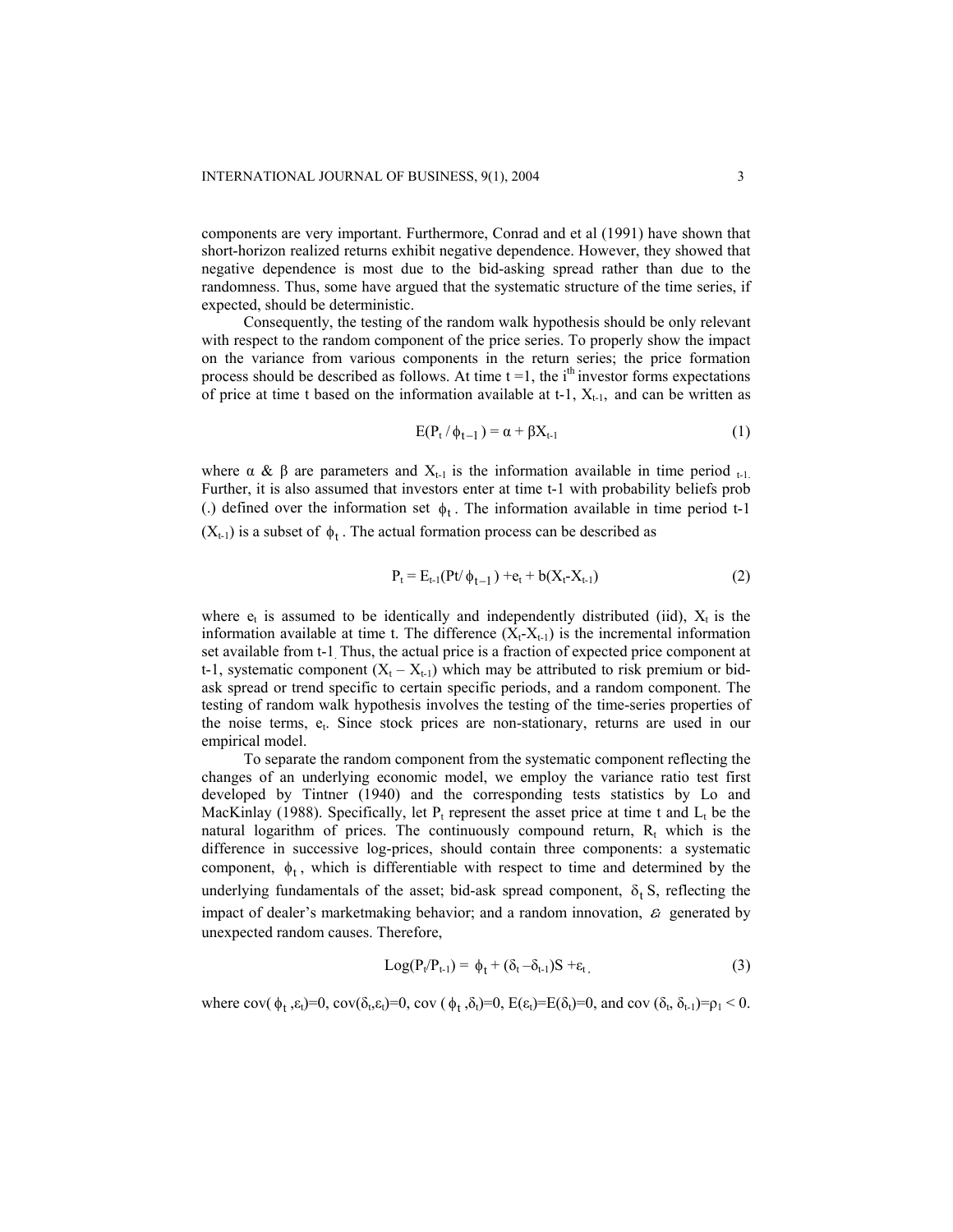components are very important. Furthermore, Conrad and et al (1991) have shown that short-horizon realized returns exhibit negative dependence. However, they showed that negative dependence is most due to the bid-asking spread rather than due to the randomness. Thus, some have argued that the systematic structure of the time series, if expected, should be deterministic.

Consequently, the testing of the random walk hypothesis should be only relevant with respect to the random component of the price series. To properly show the impact on the variance from various components in the return series; the price formation process should be described as follows. At time  $t = 1$ , the i<sup>th</sup> investor forms expectations of price at time t based on the information available at t-1,  $X_{t-1}$ , and can be written as

$$
E(P_t / \phi_{t-1}) = \alpha + \beta X_{t-1}
$$
 (1)

where  $\alpha \& \beta$  are parameters and  $X_{t-1}$  is the information available in time period  $_{t-1}$ . Further, it is also assumed that investors enter at time t-1 with probability beliefs prob (.) defined over the information set  $\phi_t$ . The information available in time period t-1  $(X_{t-1})$  is a subset of  $\phi_t$ . The actual formation process can be described as

$$
P_t = E_{t-1}(Pt/\phi_{t-1}) + e_t + b(X_t - X_{t-1})
$$
\n(2)

where  $e_t$  is assumed to be identically and independently distributed (iid),  $X_t$  is the information available at time t. The difference  $(X_t-X_{t-1})$  is the incremental information set available from t-1. Thus, the actual price is a fraction of expected price component at t-1, systematic component  $(X_t - X_{t-1})$  which may be attributed to risk premium or bidask spread or trend specific to certain specific periods, and a random component. The testing of random walk hypothesis involves the testing of the time-series properties of the noise terms, et. Since stock prices are non-stationary, returns are used in our empirical model.

To separate the random component from the systematic component reflecting the changes of an underlying economic model, we employ the variance ratio test first developed by Tintner (1940) and the corresponding tests statistics by Lo and MacKinlay (1988). Specifically, let  $P_t$  represent the asset price at time t and  $L_t$  be the natural logarithm of prices. The continuously compound return,  $R_t$  which is the difference in successive log-prices, should contain three components: a systematic component,  $\phi_t$ , which is differentiable with respect to time and determined by the underlying fundamentals of the asset; bid-ask spread component,  $\delta_t$  S, reflecting the impact of dealer's marketmaking behavior; and a random innovation, ε*<sup>t</sup>* generated by unexpected random causes. Therefore,

$$
Log(P_t/P_{t-1}) = \phi_t + (\delta_t - \delta_{t-1})S + \varepsilon_t, \qquad (3)
$$

where  $cov(\phi_t, \varepsilon_t)=0$ ,  $cov(\delta_t, \varepsilon_t)=0$ ,  $cov(\phi_t, \delta_t)=0$ ,  $E(\varepsilon_t)=E(\delta_t)=0$ , and  $cov(\delta_t, \delta_{t-1})=p_1 < 0$ .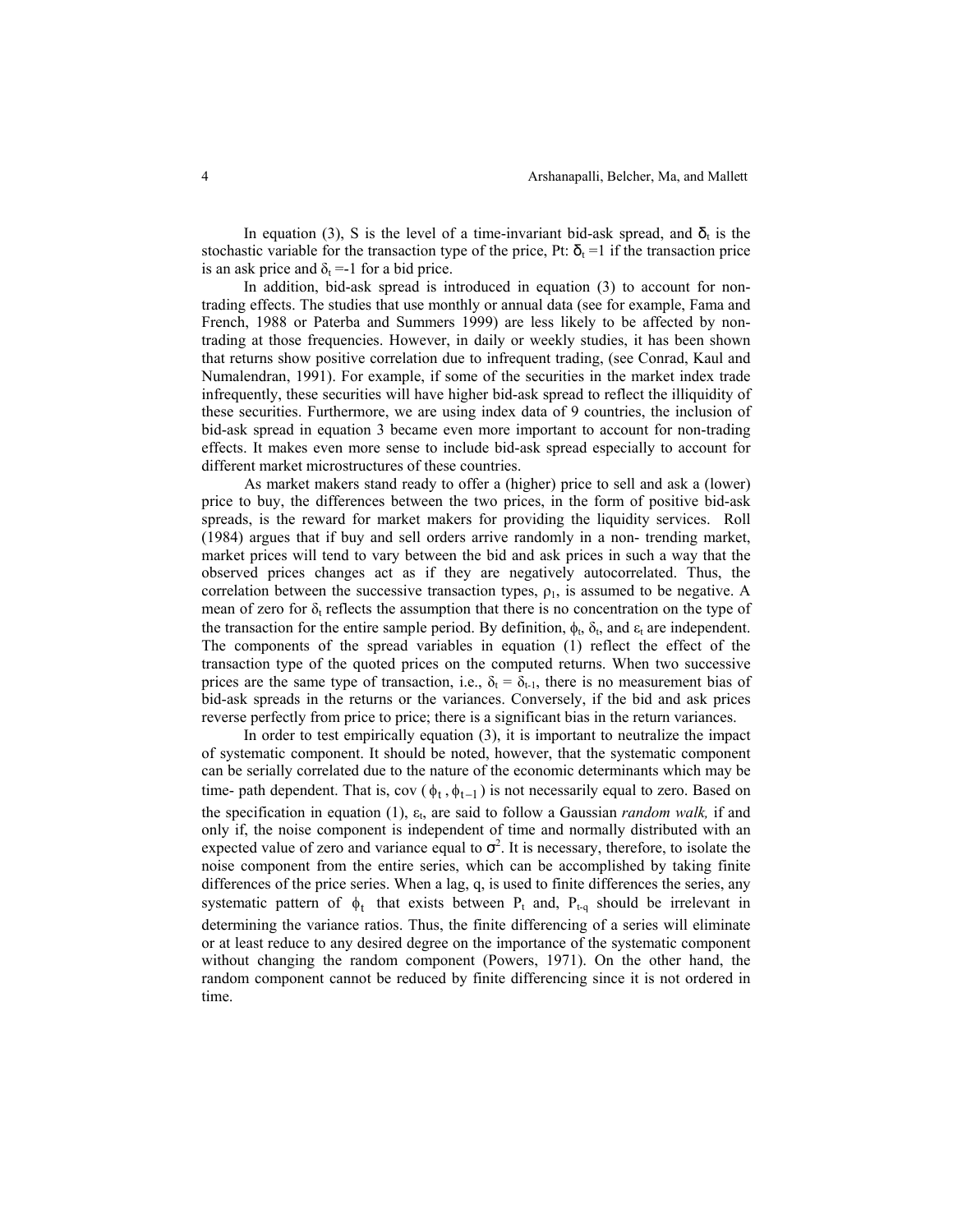In equation (3), S is the level of a time-invariant bid-ask spread, and  $\delta_t$  is the stochastic variable for the transaction type of the price, Pt:  $\delta_t = 1$  if the transaction price is an ask price and  $\delta_t = -1$  for a bid price.

In addition, bid-ask spread is introduced in equation (3) to account for nontrading effects. The studies that use monthly or annual data (see for example, Fama and French, 1988 or Paterba and Summers 1999) are less likely to be affected by nontrading at those frequencies. However, in daily or weekly studies, it has been shown that returns show positive correlation due to infrequent trading, (see Conrad, Kaul and Numalendran, 1991). For example, if some of the securities in the market index trade infrequently, these securities will have higher bid-ask spread to reflect the illiquidity of these securities. Furthermore, we are using index data of 9 countries, the inclusion of bid-ask spread in equation 3 became even more important to account for non-trading effects. It makes even more sense to include bid-ask spread especially to account for different market microstructures of these countries.

As market makers stand ready to offer a (higher) price to sell and ask a (lower) price to buy, the differences between the two prices, in the form of positive bid-ask spreads, is the reward for market makers for providing the liquidity services. Roll (1984) argues that if buy and sell orders arrive randomly in a non- trending market, market prices will tend to vary between the bid and ask prices in such a way that the observed prices changes act as if they are negatively autocorrelated. Thus, the correlation between the successive transaction types,  $\rho_1$ , is assumed to be negative. A mean of zero for  $\delta_t$  reflects the assumption that there is no concentration on the type of the transaction for the entire sample period. By definition,  $\phi_t$ ,  $\delta_t$ , and  $\epsilon_t$  are independent. The components of the spread variables in equation (1) reflect the effect of the transaction type of the quoted prices on the computed returns. When two successive prices are the same type of transaction, i.e.,  $\delta_t = \delta_{t-1}$ , there is no measurement bias of bid-ask spreads in the returns or the variances. Conversely, if the bid and ask prices reverse perfectly from price to price; there is a significant bias in the return variances.

In order to test empirically equation (3), it is important to neutralize the impact of systematic component. It should be noted, however, that the systematic component can be serially correlated due to the nature of the economic determinants which may be time- path dependent. That is, cov ( $\phi_t$ ,  $\phi_{t-1}$ ) is not necessarily equal to zero. Based on the specification in equation (1), ε<sub>t</sub>, are said to follow a Gaussian *random walk*, if and only if, the noise component is independent of time and normally distributed with an expected value of zero and variance equal to  $\sigma^2$ . It is necessary, therefore, to isolate the noise component from the entire series, which can be accomplished by taking finite differences of the price series. When a lag, q, is used to finite differences the series, any systematic pattern of  $\phi_t$  that exists between P<sub>t</sub> and, P<sub>t-q</sub> should be irrelevant in determining the variance ratios. Thus, the finite differencing of a series will eliminate or at least reduce to any desired degree on the importance of the systematic component without changing the random component (Powers, 1971). On the other hand, the random component cannot be reduced by finite differencing since it is not ordered in time.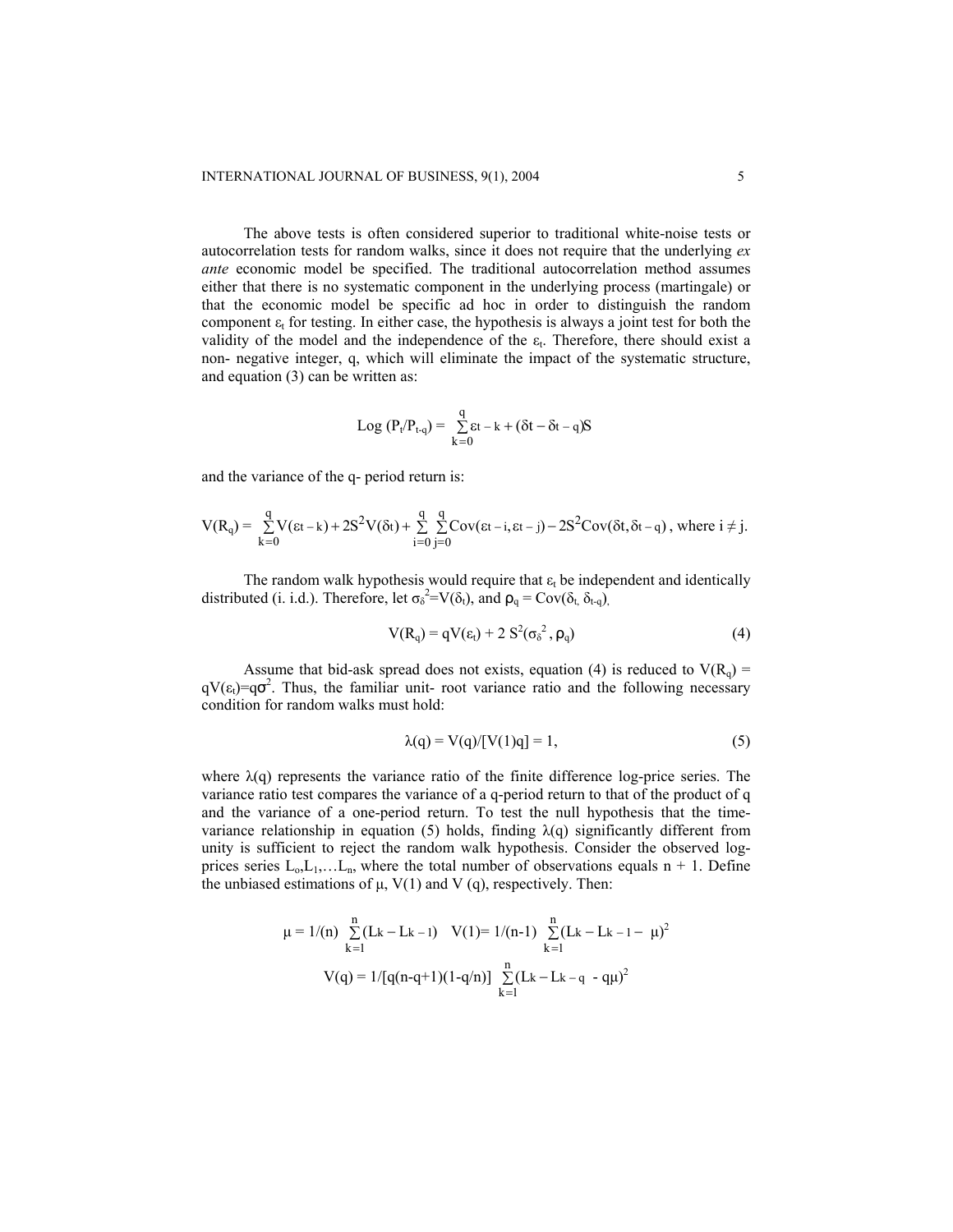The above tests is often considered superior to traditional white-noise tests or autocorrelation tests for random walks, since it does not require that the underlying *ex ante* economic model be specified. The traditional autocorrelation method assumes either that there is no systematic component in the underlying process (martingale) or that the economic model be specific ad hoc in order to distinguish the random component  $\varepsilon_t$  for testing. In either case, the hypothesis is always a joint test for both the validity of the model and the independence of the  $\varepsilon_t$ . Therefore, there should exist a non- negative integer, q, which will eliminate the impact of the systematic structure, and equation (3) can be written as:

$$
Log\ (P_t/P_{t\text{-}q}) = \ \sum\limits_{k=0}^{q} \epsilon t-k + (\delta t - \delta t - q)S
$$

and the variance of the q- period return is:

$$
V(R_q)=\underset{k=0}{\overset{q}{\sum}}V(\epsilon t-k)+2S^2V(\delta t)+\underset{i=0}{\overset{q}{\sum}}\underset{j=0}{\overset{q}{\sum}}Cov(\epsilon t-i,\epsilon t-j)-2S^2Cov(\delta t,\delta t-q)\text{ , where }i\neq j.
$$

The random walk hypothesis would require that  $\varepsilon_t$  be independent and identically distributed (i. i.d.). Therefore, let  $\sigma_0^2 = V(\delta_t)$ , and  $\rho_q = \text{Cov}(\delta_t, \delta_{t-q})$ .

$$
V(R_q) = qV(\epsilon_t) + 2 S^2(\sigma_\delta^2, \rho_q)
$$
 (4)

Assume that bid-ask spread does not exists, equation (4) is reduced to  $V(R_0)$  =  $qV(\epsilon_t)=q\sigma^2$ . Thus, the familiar unit- root variance ratio and the following necessary condition for random walks must hold:

$$
\lambda(q) = V(q)/[V(1)q] = 1,\tag{5}
$$

where  $\lambda(q)$  represents the variance ratio of the finite difference log-price series. The variance ratio test compares the variance of a q-period return to that of the product of q and the variance of a one-period return. To test the null hypothesis that the timevariance relationship in equation (5) holds, finding  $\lambda(q)$  significantly different from unity is sufficient to reject the random walk hypothesis. Consider the observed logprices series  $L_0, L_1, \ldots, L_n$ , where the total number of observations equals n + 1. Define the unbiased estimations of  $\mu$ ,  $V(1)$  and V (q), respectively. Then:

$$
\mu = 1/(n) \sum_{k=1}^{n} (Lk - Lk - 1) \quad V(1) = 1/(n-1) \sum_{k=1}^{n} (Lk - Lk - 1 - \mu)^2
$$

$$
V(q) = 1/[q(n-q+1)(1-q/n)] \sum_{k=1}^{n} (Lk - Lk - q - q\mu)^2
$$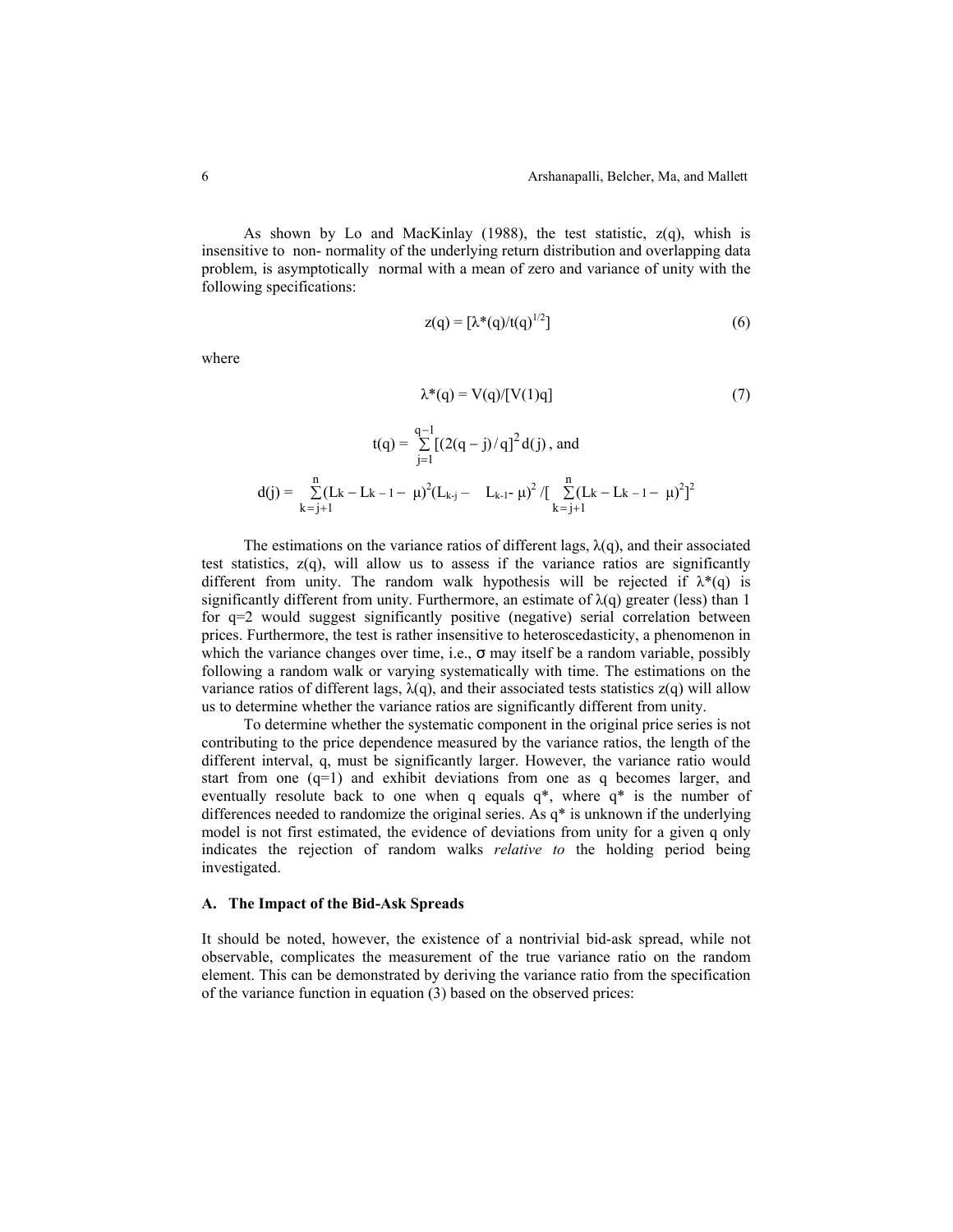As shown by Lo and MacKinlay (1988), the test statistic,  $z(q)$ , whish is insensitive to non- normality of the underlying return distribution and overlapping data problem, is asymptotically normal with a mean of zero and variance of unity with the following specifications:

$$
z(q) = [\lambda^*(q)/t(q)^{1/2}] \tag{6}
$$

where

$$
\lambda^*(q) = V(q) / [V(1)q]
$$
\n
$$
t(q) = \sum_{i=1}^{q-1} [(2(q - j) / q]^2 d(j), \text{ and}
$$
\n(7)

$$
j=1
$$
  

$$
d(j) = \sum_{k=j+1}^{n} (L_{k} - L_{k-1} - \mu)^{2} (L_{k-j} - L_{k-1} - \mu)^{2} / [\sum_{k=j+1}^{n} (L_{k} - L_{k-1} - \mu)^{2}]^{2}
$$

The estimations on the variance ratios of different lags,  $\lambda(q)$ , and their associated test statistics,  $z(q)$ , will allow us to assess if the variance ratios are significantly different from unity. The random walk hypothesis will be rejected if  $\lambda^*(q)$  is significantly different from unity. Furthermore, an estimate of  $\lambda(q)$  greater (less) than 1 for q=2 would suggest significantly positive (negative) serial correlation between prices. Furthermore, the test is rather insensitive to heteroscedasticity, a phenomenon in which the variance changes over time, i.e.,  $\sigma$  may itself be a random variable, possibly following a random walk or varying systematically with time. The estimations on the variance ratios of different lags,  $\lambda(q)$ , and their associated tests statistics  $z(q)$  will allow us to determine whether the variance ratios are significantly different from unity.

To determine whether the systematic component in the original price series is not contributing to the price dependence measured by the variance ratios, the length of the different interval, q, must be significantly larger. However, the variance ratio would start from one (q=1) and exhibit deviations from one as q becomes larger, and eventually resolute back to one when q equals q\*, where q\* is the number of differences needed to randomize the original series. As q\* is unknown if the underlying model is not first estimated, the evidence of deviations from unity for a given q only indicates the rejection of random walks *relative to* the holding period being investigated.

#### **A. The Impact of the Bid-Ask Spreads**

It should be noted, however, the existence of a nontrivial bid-ask spread, while not observable, complicates the measurement of the true variance ratio on the random element. This can be demonstrated by deriving the variance ratio from the specification of the variance function in equation (3) based on the observed prices: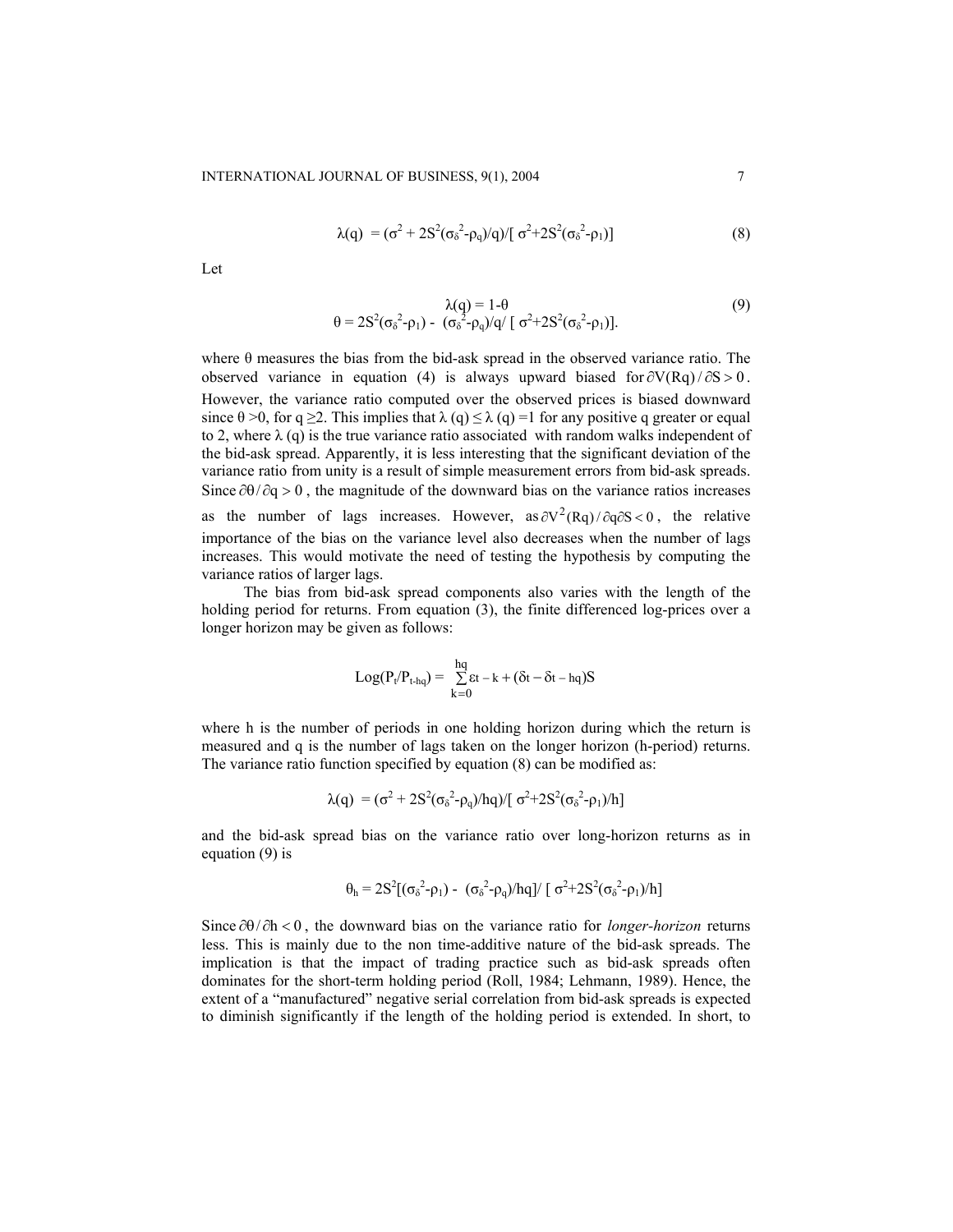$$
\lambda(q) = (\sigma^2 + 2S^2(\sigma_\delta^2 - \rho_q)/q)/[\sigma^2 + 2S^2(\sigma_\delta^2 - \rho_1)]
$$
\n(8)

Let

$$
\lambda(q) = 1 - \theta
$$
  
\n
$$
\theta = 2S^{2}(\sigma_{\delta}^{2} - \rho_{1}) - (\sigma_{\delta}^{2} - \rho_{q})/q/\left[\sigma^{2} + 2S^{2}(\sigma_{\delta}^{2} - \rho_{1})\right].
$$
\n(9)

where  $\theta$  measures the bias from the bid-ask spread in the observed variance ratio. The observed variance in equation (4) is always upward biased for  $\partial V(Rq)/\partial S > 0$ . However, the variance ratio computed over the observed prices is biased downward since  $\theta > 0$ , for q  $\geq 2$ . This implies that  $\lambda(q) \leq \lambda(q) =1$  for any positive q greater or equal to 2, where  $\lambda$  (q) is the true variance ratio associated with random walks independent of the bid-ask spread. Apparently, it is less interesting that the significant deviation of the variance ratio from unity is a result of simple measurement errors from bid-ask spreads. Since  $\partial\theta/\partial q > 0$ , the magnitude of the downward bias on the variance ratios increases as the number of lags increases. However, as  $\partial V^2(Rq)/\partial q \partial S < 0$ , the relative importance of the bias on the variance level also decreases when the number of lags increases. This would motivate the need of testing the hypothesis by computing the variance ratios of larger lags.

The bias from bid-ask spread components also varies with the length of the holding period for returns. From equation (3), the finite differenced log-prices over a longer horizon may be given as follows:

$$
Log(P_t/P_{t\text{-}hq}) = \sum_{k=0}^{hq} \epsilon t - k + (\delta t - \delta t - hq)S
$$

where h is the number of periods in one holding horizon during which the return is measured and q is the number of lags taken on the longer horizon (h-period) returns. The variance ratio function specified by equation (8) can be modified as:

$$
\lambda(q) = (\sigma^2 + 2S^2(\sigma_\delta^2 - \rho_q)/hq)/[\sigma^2 + 2S^2(\sigma_\delta^2 - \rho_1)/h]
$$

and the bid-ask spread bias on the variance ratio over long-horizon returns as in equation (9) is

$$
\theta_h = 2S^2[(\sigma_{\delta}^2 - \rho_1) - (\sigma_{\delta}^2 - \rho_q)/hq]/[\sigma^2 + 2S^2(\sigma_{\delta}^2 - \rho_1)/h]
$$

Since ∂θ/∂h < 0, the downward bias on the variance ratio for *longer-horizon* returns less. This is mainly due to the non time-additive nature of the bid-ask spreads. The implication is that the impact of trading practice such as bid-ask spreads often dominates for the short-term holding period (Roll, 1984; Lehmann, 1989). Hence, the extent of a "manufactured" negative serial correlation from bid-ask spreads is expected to diminish significantly if the length of the holding period is extended. In short, to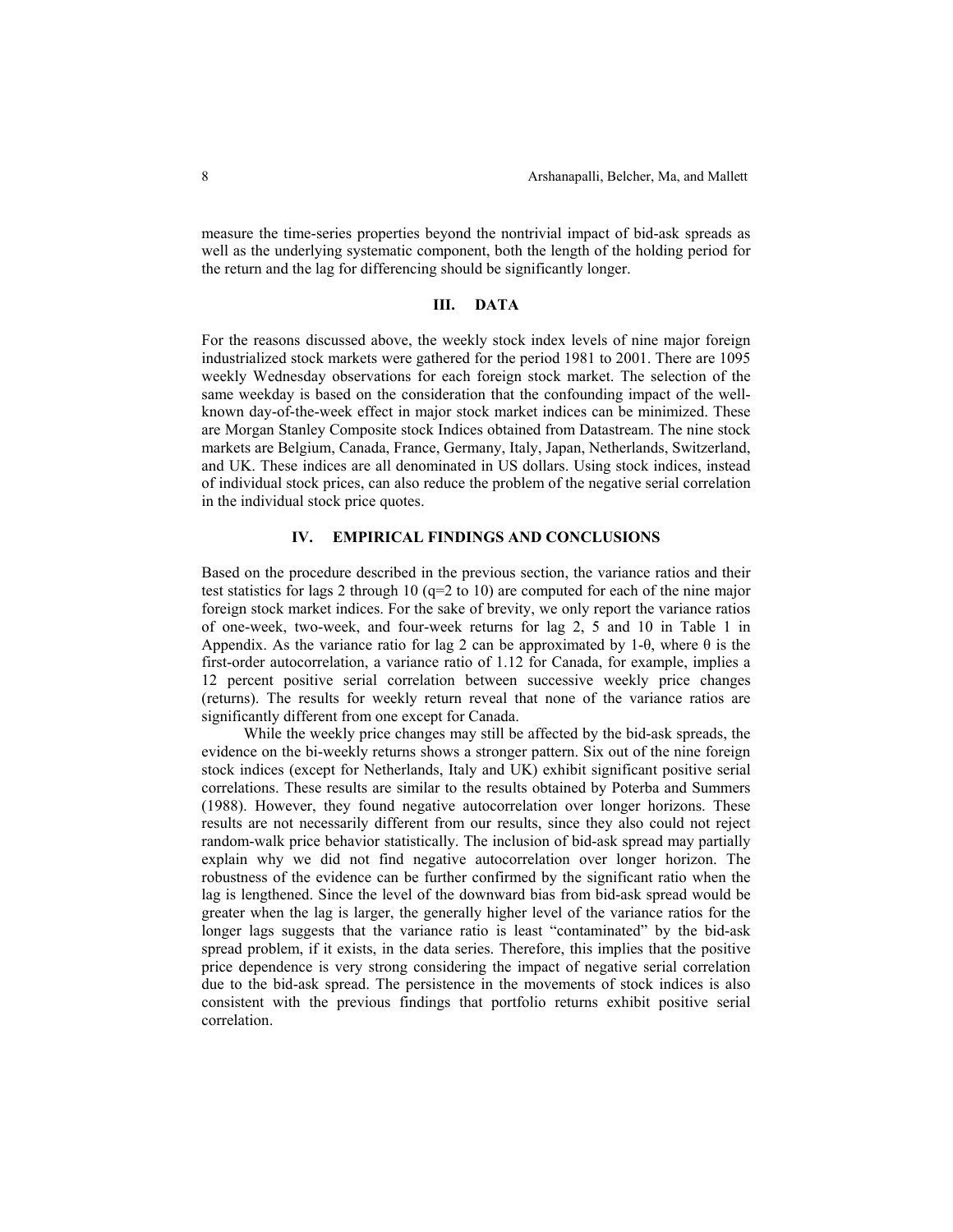measure the time-series properties beyond the nontrivial impact of bid-ask spreads as well as the underlying systematic component, both the length of the holding period for the return and the lag for differencing should be significantly longer.

#### **III. DATA**

For the reasons discussed above, the weekly stock index levels of nine major foreign industrialized stock markets were gathered for the period 1981 to 2001. There are 1095 weekly Wednesday observations for each foreign stock market. The selection of the same weekday is based on the consideration that the confounding impact of the wellknown day-of-the-week effect in major stock market indices can be minimized. These are Morgan Stanley Composite stock Indices obtained from Datastream. The nine stock markets are Belgium, Canada, France, Germany, Italy, Japan, Netherlands, Switzerland, and UK. These indices are all denominated in US dollars. Using stock indices, instead of individual stock prices, can also reduce the problem of the negative serial correlation in the individual stock price quotes.

### **IV. EMPIRICAL FINDINGS AND CONCLUSIONS**

Based on the procedure described in the previous section, the variance ratios and their test statistics for lags 2 through 10 ( $q=2$  to 10) are computed for each of the nine major foreign stock market indices. For the sake of brevity, we only report the variance ratios of one-week, two-week, and four-week returns for lag 2, 5 and 10 in Table 1 in Appendix. As the variance ratio for lag 2 can be approximated by 1-θ, where  $\theta$  is the first-order autocorrelation, a variance ratio of 1.12 for Canada, for example, implies a 12 percent positive serial correlation between successive weekly price changes (returns). The results for weekly return reveal that none of the variance ratios are significantly different from one except for Canada.

While the weekly price changes may still be affected by the bid-ask spreads, the evidence on the bi-weekly returns shows a stronger pattern. Six out of the nine foreign stock indices (except for Netherlands, Italy and UK) exhibit significant positive serial correlations. These results are similar to the results obtained by Poterba and Summers (1988). However, they found negative autocorrelation over longer horizons. These results are not necessarily different from our results, since they also could not reject random-walk price behavior statistically. The inclusion of bid-ask spread may partially explain why we did not find negative autocorrelation over longer horizon. The robustness of the evidence can be further confirmed by the significant ratio when the lag is lengthened. Since the level of the downward bias from bid-ask spread would be greater when the lag is larger, the generally higher level of the variance ratios for the longer lags suggests that the variance ratio is least "contaminated" by the bid-ask spread problem, if it exists, in the data series. Therefore, this implies that the positive price dependence is very strong considering the impact of negative serial correlation due to the bid-ask spread. The persistence in the movements of stock indices is also consistent with the previous findings that portfolio returns exhibit positive serial correlation.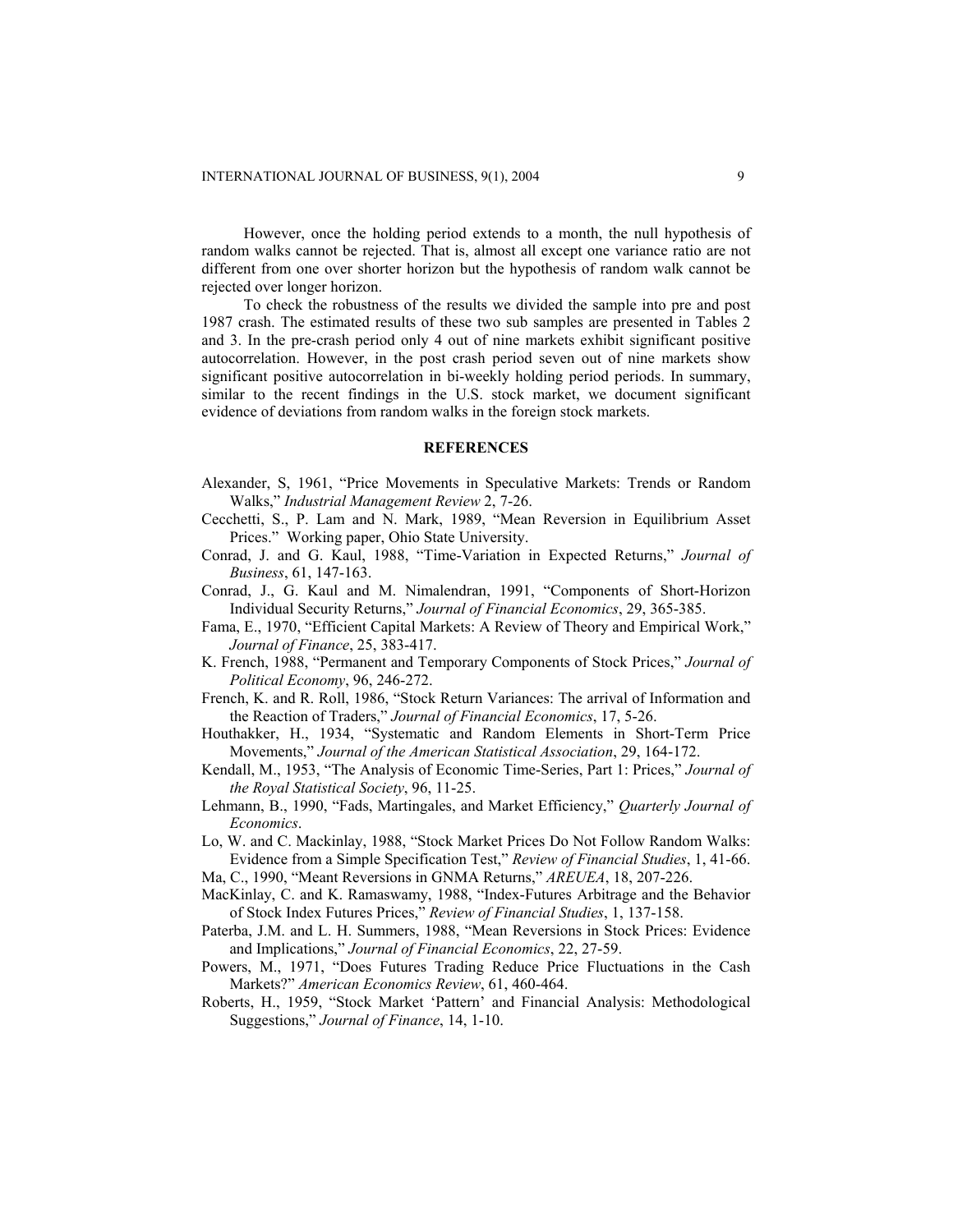However, once the holding period extends to a month, the null hypothesis of random walks cannot be rejected. That is, almost all except one variance ratio are not different from one over shorter horizon but the hypothesis of random walk cannot be rejected over longer horizon.

To check the robustness of the results we divided the sample into pre and post 1987 crash. The estimated results of these two sub samples are presented in Tables 2 and 3. In the pre-crash period only 4 out of nine markets exhibit significant positive autocorrelation. However, in the post crash period seven out of nine markets show significant positive autocorrelation in bi-weekly holding period periods. In summary, similar to the recent findings in the U.S. stock market, we document significant evidence of deviations from random walks in the foreign stock markets.

#### **REFERENCES**

- Alexander, S, 1961, "Price Movements in Speculative Markets: Trends or Random Walks," *Industrial Management Review* 2, 7-26.
- Cecchetti, S., P. Lam and N. Mark, 1989, "Mean Reversion in Equilibrium Asset Prices." Working paper, Ohio State University.
- Conrad, J. and G. Kaul, 1988, "Time-Variation in Expected Returns," *Journal of Business*, 61, 147-163.
- Conrad, J., G. Kaul and M. Nimalendran, 1991, "Components of Short-Horizon Individual Security Returns," *Journal of Financial Economics*, 29, 365-385.
- Fama, E., 1970, "Efficient Capital Markets: A Review of Theory and Empirical Work," *Journal of Finance*, 25, 383-417.
- K. French, 1988, "Permanent and Temporary Components of Stock Prices," *Journal of Political Economy*, 96, 246-272.
- French, K. and R. Roll, 1986, "Stock Return Variances: The arrival of Information and the Reaction of Traders," *Journal of Financial Economics*, 17, 5-26.
- Houthakker, H., 1934, "Systematic and Random Elements in Short-Term Price Movements," *Journal of the American Statistical Association*, 29, 164-172.
- Kendall, M., 1953, "The Analysis of Economic Time-Series, Part 1: Prices," *Journal of the Royal Statistical Society*, 96, 11-25.
- Lehmann, B., 1990, "Fads, Martingales, and Market Efficiency," *Quarterly Journal of Economics*.
- Lo, W. and C. Mackinlay, 1988, "Stock Market Prices Do Not Follow Random Walks: Evidence from a Simple Specification Test," *Review of Financial Studies*, 1, 41-66.
- Ma, C., 1990, "Meant Reversions in GNMA Returns," *AREUEA*, 18, 207-226.
- MacKinlay, C. and K. Ramaswamy, 1988, "Index-Futures Arbitrage and the Behavior of Stock Index Futures Prices," *Review of Financial Studies*, 1, 137-158.
- Paterba, J.M. and L. H. Summers, 1988, "Mean Reversions in Stock Prices: Evidence and Implications," *Journal of Financial Economics*, 22, 27-59.
- Powers, M., 1971, "Does Futures Trading Reduce Price Fluctuations in the Cash Markets?" *American Economics Review*, 61, 460-464.
- Roberts, H., 1959, "Stock Market 'Pattern' and Financial Analysis: Methodological Suggestions," *Journal of Finance*, 14, 1-10.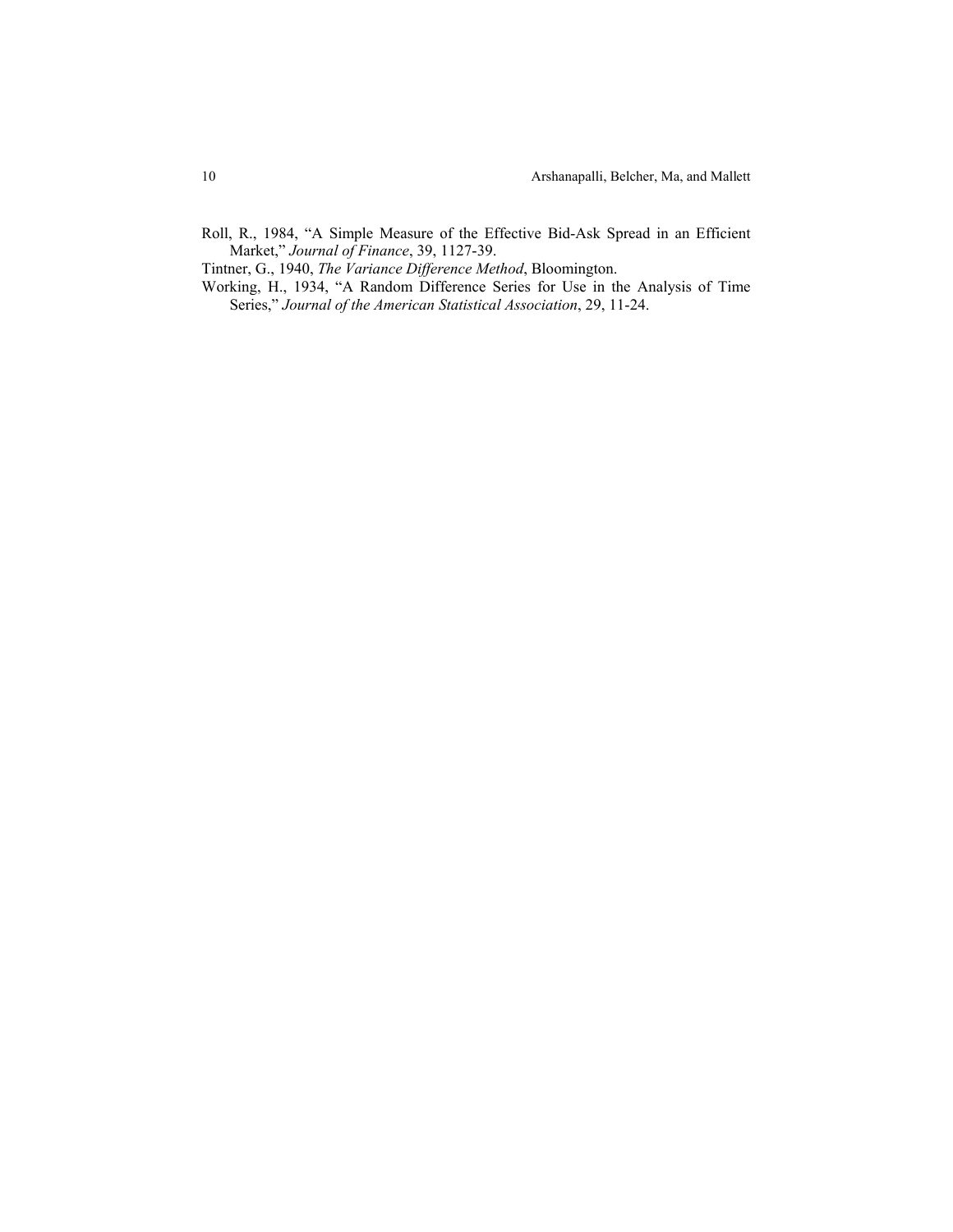Roll, R., 1984, "A Simple Measure of the Effective Bid-Ask Spread in an Efficient Market," *Journal of Finance*, 39, 1127-39.

Tintner, G., 1940, *The Variance Difference Method*, Bloomington.

Working, H., 1934, "A Random Difference Series for Use in the Analysis of Time Series," *Journal of the American Statistical Association*, 29, 11-24.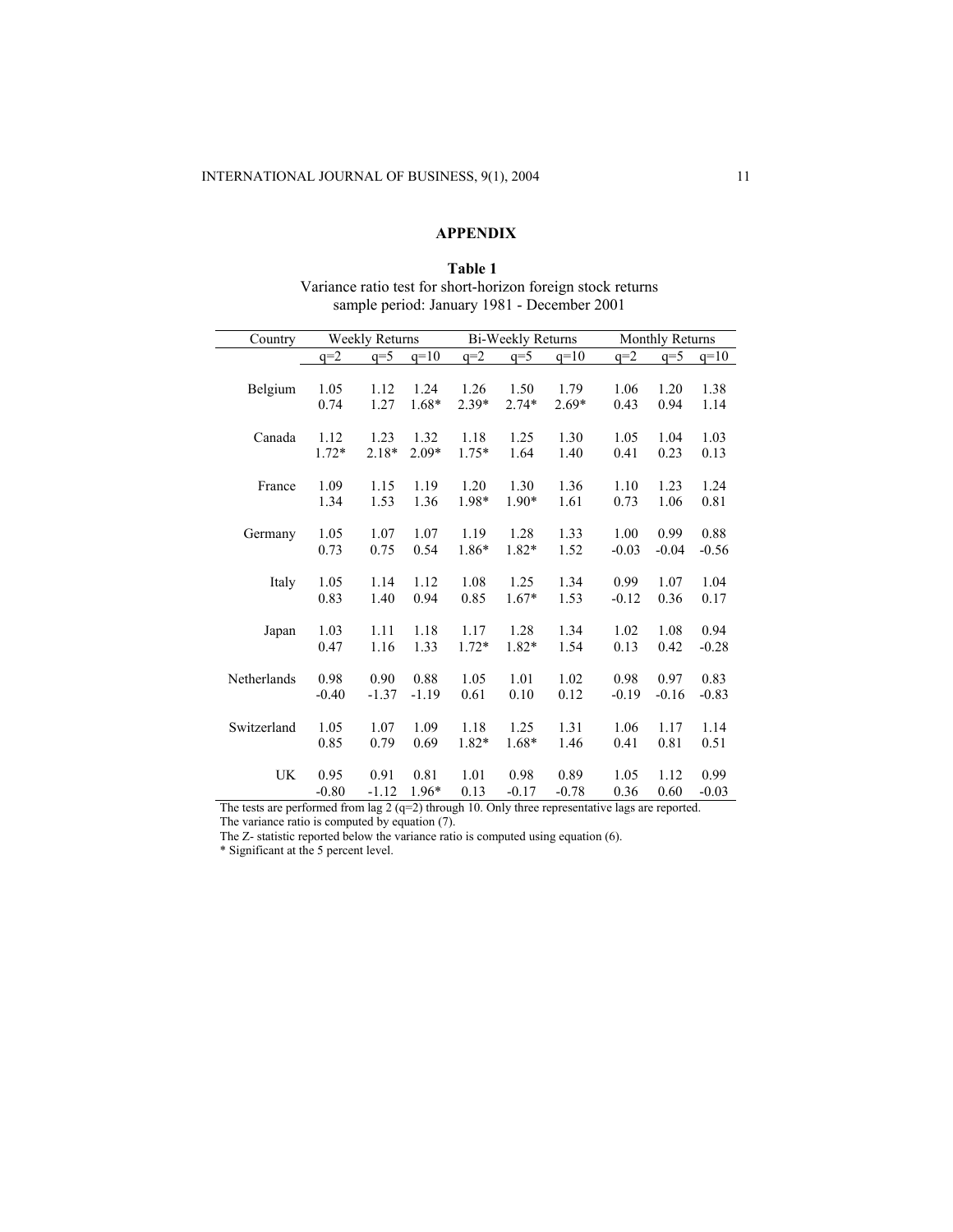# **APPENDIX**

## **Table 1**  Variance ratio test for short-horizon foreign stock returns sample period: January 1981 - December 2001

| Country     | <b>Weekly Returns</b> |         |         |         | Bi-Weekly Returns |         | Monthly Returns |         |         |
|-------------|-----------------------|---------|---------|---------|-------------------|---------|-----------------|---------|---------|
|             | $q=2$                 | $q=5$   | $q=10$  | $q=2$   | $q=5$             | $q=10$  | $q=2$           | $q=5$   | $q=10$  |
|             |                       |         |         |         |                   |         |                 |         |         |
| Belgium     | 1.05                  | 1.12    | 1.24    | 1.26    | 1.50              | 1.79    | 1.06            | 1.20    | 1.38    |
|             | 0.74                  | 1.27    | 1.68*   | $2.39*$ | $2.74*$           | $2.69*$ | 0.43            | 0.94    | 1.14    |
|             |                       |         |         |         |                   |         |                 |         |         |
| Canada      | 1.12                  | 1.23    | 1.32    | 1.18    | 1.25              | 1.30    | 1.05            | 1.04    | 1.03    |
|             | $1.72*$               | $2.18*$ | $2.09*$ | $1.75*$ | 1.64              | 1.40    | 0.41            | 0.23    | 0.13    |
| France      | 1.09                  | 1.15    | 1.19    | 1.20    | 1.30              | 1.36    | 1.10            | 1.23    | 1.24    |
|             | 1.34                  | 1.53    | 1.36    | 1.98*   | 1.90*             | 1.61    | 0.73            | 1.06    | 0.81    |
|             |                       |         |         |         |                   |         |                 |         |         |
| Germany     | 1.05                  | 1.07    | 1.07    | 1.19    | 1.28              | 1.33    | 1.00            | 0.99    | 0.88    |
|             | 0.73                  | 0.75    | 0.54    | 1.86*   | 1.82*             | 1.52    | $-0.03$         | $-0.04$ | $-0.56$ |
|             |                       |         |         |         |                   |         |                 |         |         |
| Italy       | 1.05                  | 1.14    | 1.12    | 1.08    | 1.25              | 1.34    | 0.99            | 1.07    | 1.04    |
|             | 0.83                  | 1.40    | 0.94    | 0.85    | $1.67*$           | 1.53    | $-0.12$         | 0.36    | 0.17    |
|             |                       |         |         |         |                   |         |                 |         |         |
| Japan       | 1.03                  | 1.11    | 1.18    | 1.17    | 1.28              | 1.34    | 1.02            | 1.08    | 0.94    |
|             | 0.47                  | 1.16    | 1.33    | $1.72*$ | 1.82*             | 1.54    | 0.13            | 0.42    | $-0.28$ |
|             |                       |         |         |         |                   |         |                 |         |         |
| Netherlands | 0.98                  | 0.90    | 0.88    | 1.05    | 1.01              | 1.02    | 0.98            | 0.97    | 0.83    |
|             | $-0.40$               | $-1.37$ | $-1.19$ | 0.61    | 0.10              | 0.12    | $-0.19$         | $-0.16$ | $-0.83$ |
|             |                       |         |         |         |                   |         |                 |         |         |
| Switzerland | 1.05                  | 1.07    | 1.09    | 1.18    | 1.25              | 1.31    | 1.06            | 1.17    | 1.14    |
|             | 0.85                  | 0.79    | 0.69    | 1.82*   | 1.68*             | 1.46    | 0.41            | 0.81    | 0.51    |
| <b>UK</b>   | 0.95                  | 0.91    | 0.81    |         | 0.98              |         | 1.05            | 1.12    | 0.99    |
|             |                       |         |         | 1.01    |                   | 0.89    |                 |         |         |
|             | $-0.80$               | $-1.12$ | 1.96*   | 0.13    | $-0.17$           | $-0.78$ | 0.36            | 0.60    | $-0.03$ |

The tests are performed from lag  $2 (q=2)$  through 10. Only three representative lags are reported. The variance ratio is computed by equation (7).

The Z- statistic reported below the variance ratio is computed using equation (6).

\* Significant at the 5 percent level.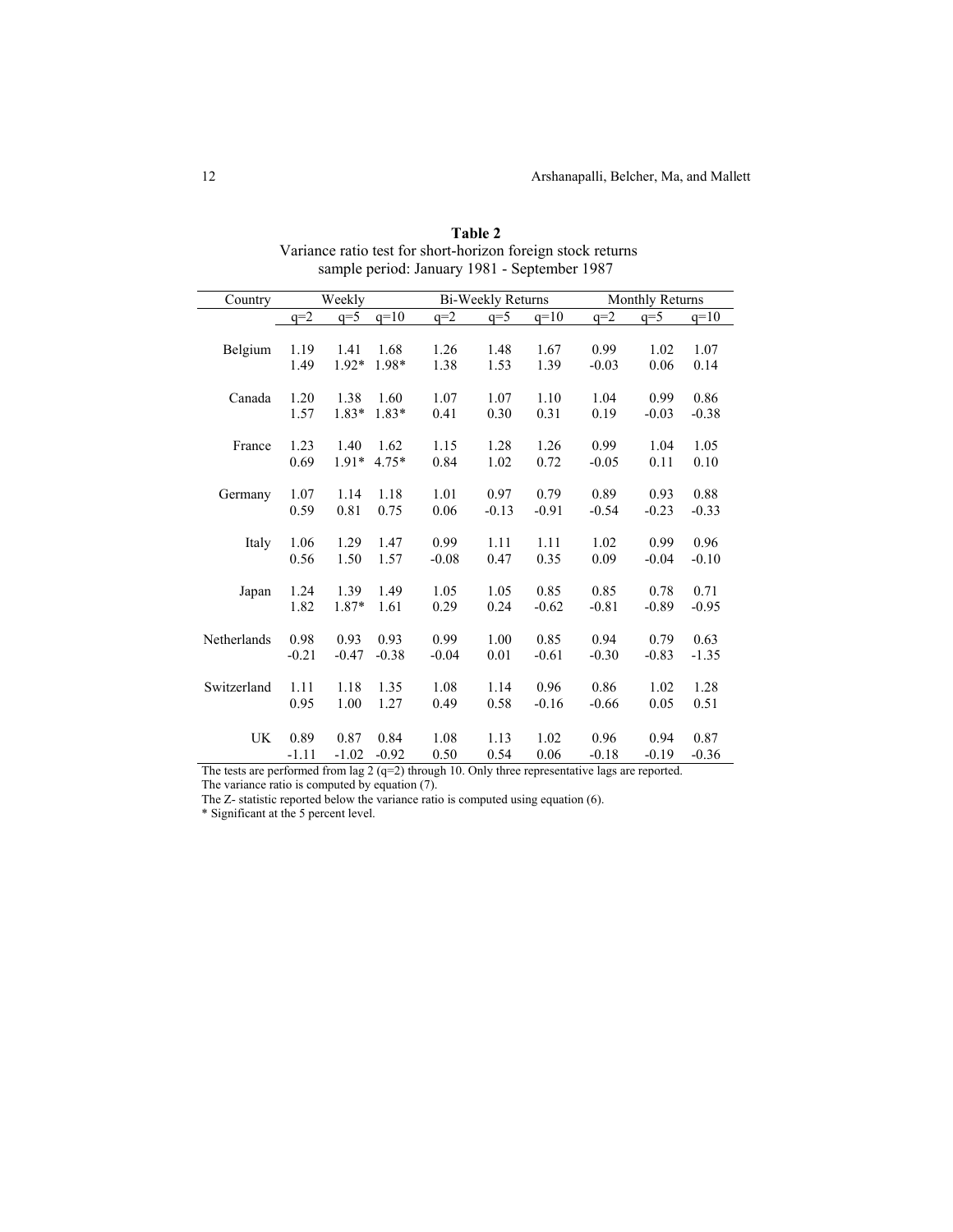| Country     | Weekly  |         |         |         | Bi-Weekly Returns |         | Monthly Returns |         |         |
|-------------|---------|---------|---------|---------|-------------------|---------|-----------------|---------|---------|
|             | $q=2$   | $q=5$   | $q=10$  | $q=2$   | $q=5$             | $q=10$  | $q=2$           | $q=5$   | $q=10$  |
|             |         |         |         |         |                   |         |                 |         |         |
| Belgium     | 1.19    | 1.41    | 1.68    | 1.26    | 1.48              | 1.67    | 0.99            | 1.02    | 1.07    |
|             | 1.49    | $1.92*$ | 1.98*   | 1.38    | 1.53              | 1.39    | $-0.03$         | 0.06    | 0.14    |
|             |         |         |         |         |                   |         |                 |         |         |
| Canada      | 1.20    | 1.38    | 1.60    | 1.07    | 1.07              | 1.10    | 1.04            | 0.99    | 0.86    |
|             | 1.57    | 1.83*   | $1.83*$ | 0.41    | 0.30              | 0.31    | 0.19            | $-0.03$ | $-0.38$ |
| France      | 1.23    | 1.40    | 1.62    | 1.15    | 1.28              | 1.26    | 0.99            | 1.04    | 1.05    |
|             | 0.69    | $1.91*$ | 4.75*   | 0.84    | 1.02              | 0.72    | $-0.05$         | 0.11    | 0.10    |
|             |         |         |         |         |                   |         |                 |         |         |
| Germany     | 1.07    | 1.14    | 1.18    | 1.01    | 0.97              | 0.79    | 0.89            | 0.93    | 0.88    |
|             | 0.59    | 0.81    | 0.75    | 0.06    | $-0.13$           | $-0.91$ | $-0.54$         | $-0.23$ | $-0.33$ |
|             |         |         |         |         |                   |         |                 |         |         |
| Italy       | 1.06    | 1.29    | 1.47    | 0.99    | 1.11              | 1.11    | 1.02            | 0.99    | 0.96    |
|             | 0.56    | 1.50    | 1.57    | $-0.08$ | 0.47              | 0.35    | 0.09            | $-0.04$ | $-0.10$ |
|             |         | 1.39    | 1.49    | 1.05    |                   | 0.85    | 0.85            | 0.78    | 0.71    |
| Japan       | 1.24    |         |         |         | 1.05              |         |                 |         |         |
|             | 1.82    | 1.87*   | 1.61    | 0.29    | 0.24              | $-0.62$ | $-0.81$         | $-0.89$ | $-0.95$ |
| Netherlands | 0.98    | 0.93    | 0.93    | 0.99    | 1.00              | 0.85    | 0.94            | 0.79    | 0.63    |
|             | $-0.21$ | $-0.47$ | $-0.38$ | $-0.04$ | 0.01              | $-0.61$ | $-0.30$         | $-0.83$ | $-1.35$ |
|             |         |         |         |         |                   |         |                 |         |         |
| Switzerland | 1.11    | 1.18    | 1.35    | 1.08    | 1.14              | 0.96    | 0.86            | 1.02    | 1.28    |
|             | 0.95    | 1.00    | 1.27    | 0.49    | 0.58              | $-0.16$ | $-0.66$         | 0.05    | 0.51    |
|             |         |         |         |         |                   |         |                 |         |         |
| UK          | 0.89    | 0.87    | 0.84    | 1.08    | 1.13              | 1.02    | 0.96            | 0.94    | 0.87    |
|             | $-1.11$ | $-1.02$ | $-0.92$ | 0.50    | 0.54              | 0.06    | $-0.18$         | $-0.19$ | $-0.36$ |

**Table 2**  Variance ratio test for short-horizon foreign stock returns sample period: January 1981 - September 1987

The tests are performed from lag  $2 (q=2)$  through 10. Only three representative lags are reported.

The variance ratio is computed by equation (7).

The Z- statistic reported below the variance ratio is computed using equation (6).

\* Significant at the 5 percent level.